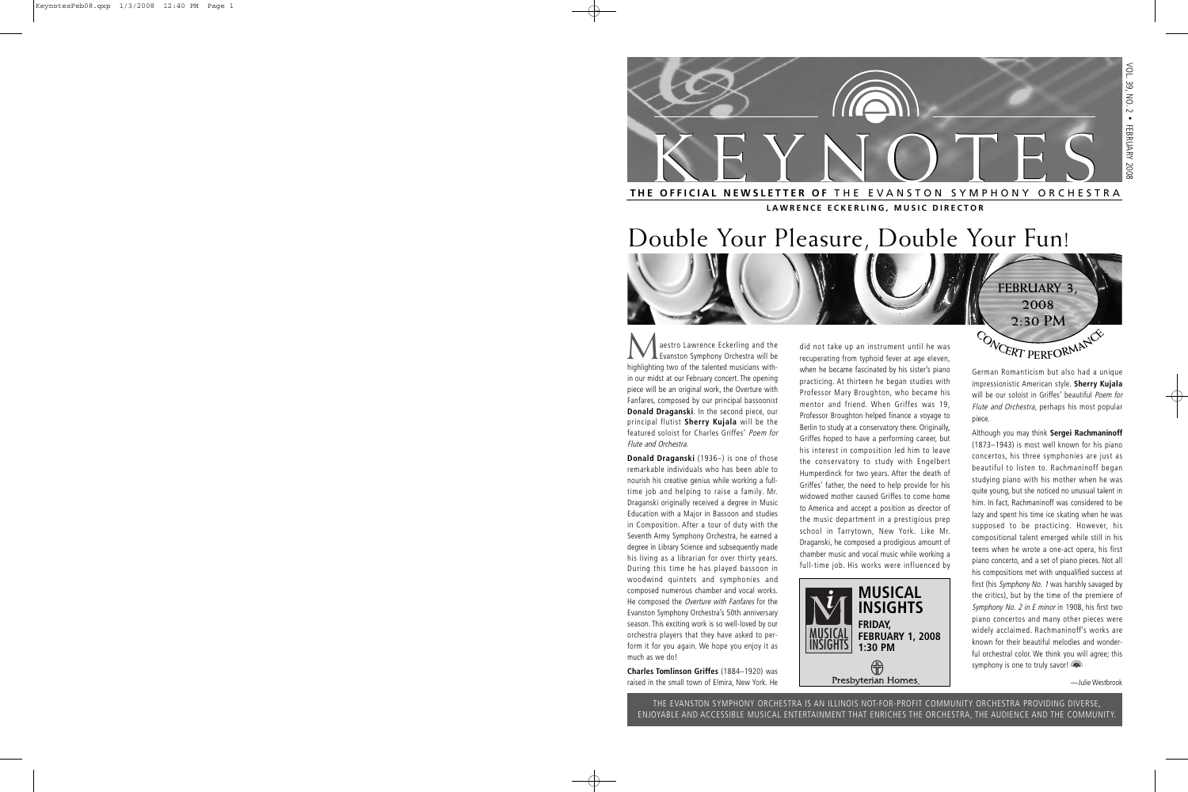

**LAWRENCE ECKERLING, MUSIC DIRECTOR**

# Double Your Pleasure, Double Your Fun!

**Maestro Lawrence Eckerling and the Evanston Symphony Orchestra will be bighted** highlighting two of the talented musicians within our midst at our February concert. The opening piece will be an original work, the Overture with Fanfares, composed by our principal bassoonist **Donald Draganski**. In the second piece, our principal flutist **Sherry Kujala** will be the featured soloist for Charles Griffes' Poem for Flute and Orchestra.

**Donald Draganski** (1936–) is one of those remarkable individuals who has been able to nourish his creative genius while working a fulltime job and helping to raise a family. Mr. Draganski originally received a degree in Music Education with a Major in Bassoon and studies in Composition. After a tour of duty with the Seventh Army Symphony Orchestra, he earned a degree in Library Science and subsequently made his living as a librarian for over thirty years. During this time he has played bassoon in woodwind quintets and symphonies and composed numerous chamber and vocal works. He composed the Overture with Fanfares for the Evanston Symphony Orchestra's 50th anniversary season. This exciting work is so well-loved by our orchestra players that they have asked to perform it for you again. We hope you enjoy it as much as we do!

**Charles Tomlinson Griffes** (1884–1920) was raised in the small town of Elmira, New York. He did not take up an instrument until he was recuperating from typhoid fever at age eleven, when he became fascinated by his sister's piano practicing. At thirteen he began studies with Professor Mary Broughton, who became his mentor and friend. When Griffes was 19, Professor Broughton helped finance a voyage to Berlin to study at a conservatory there. Originally, Griffes hoped to have a performing career, but his interest in composition led him to leave the conservatory to study with Engelbert Humperdinck for two years. After the death of Griffes' father, the need to help provide for his widowed mother caused Griffes to come home to America and accept a position as director of the music department in a prestigious prep school in Tarrytown, New York. Like Mr. Draganski, he composed a prodigious amount of chamber music and vocal music while working a full-time job. His works were influenced by



German Romanticism but also had a unique impressionistic American style. **Sherry Kujala** will be our soloist in Griffes' beautiful Poem for Flute and Orchestra, perhaps his most popular piece.

**FEBRUARY 3, 2008 2:30 PM**

 $C$  **O NCERT PERFORMANCE** 

Although you may think **Sergei Rachmaninoff** (1873–1943) is most well known for his piano concertos, his three symphonies are just as beautiful to listen to. Rachmaninoff began studying piano with his mother when he was quite young, but she noticed no unusual talent in him. In fact, Rachmaninoff was considered to be lazy and spent his time ice skating when he was supposed to be practicing. However, his compositional talent emerged while still in his teens when he wrote a one-act opera, his first piano concerto, and a set of piano pieces. Not all his compositions met with unqualified success at first (his Symphony No. 1 was harshly savaged by the critics), but by the time of the premiere of Symphony No. 2 in E minor in 1908, his first two piano concertos and many other pieces were widely acclaimed. Rachmaninoff's works are known for their beautiful melodies and wonderful orchestral color. We think you will agree; this symphony is one to truly savor!

—Julie Westbrook

THE EVANSTON SYMPHONY ORCHESTRA IS AN ILLINOIS NOT-FOR-PROFIT COMMUNITY ORCHESTRA PROVIDING DIVERSE, ENJOYABLE AND ACCESSIBLE MUSICAL ENTERTAINMENT THAT ENRICHES THE ORCHESTRA, THE AUDIENCE AND THE COMMUNITY.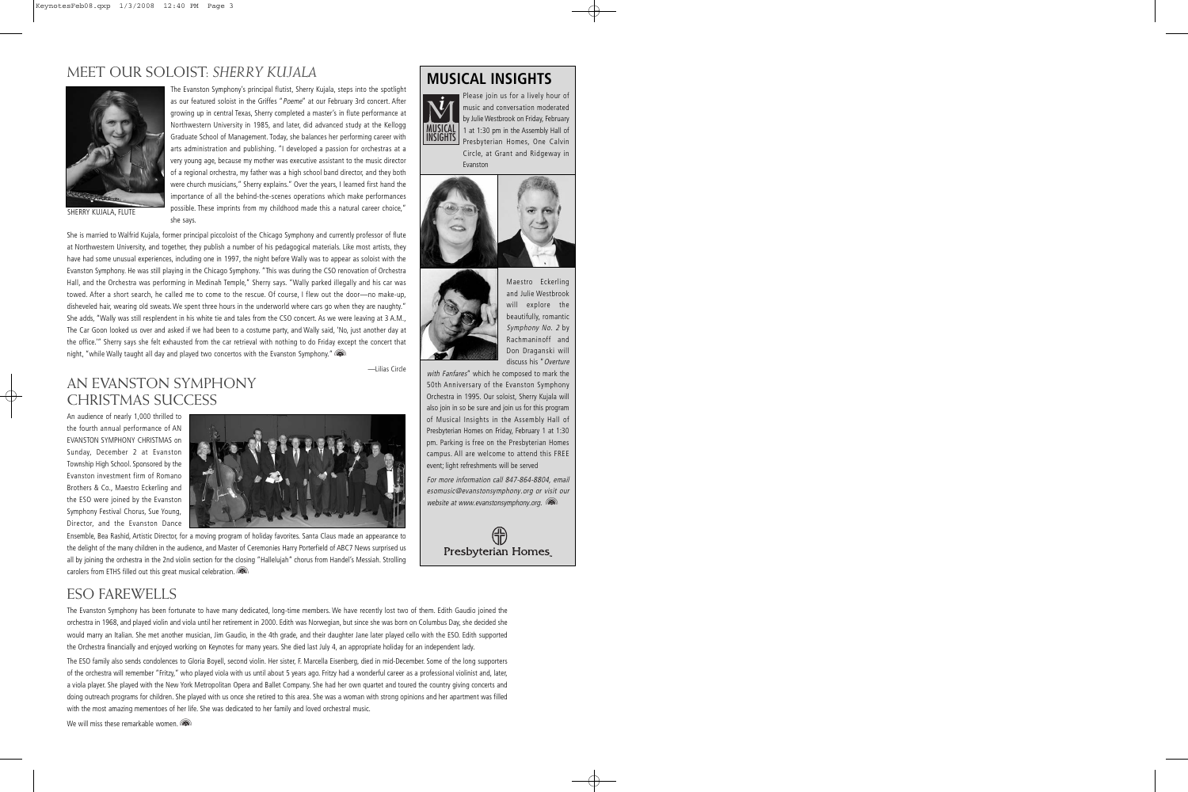### MEET OUR SOLOIST: *SHERRY KUJALA*



SHERRY KUJALA, FLUTE

The Evanston Symphony's principal flutist, Sherry Kujala, steps into the spotlight as our featured soloist in the Griffes "Poeme" at our February 3rd concert. After growing up in central Texas, Sherry completed a master's in flute performance at Northwestern University in 1985, and later, did advanced study at the Kellogg Graduate School of Management. Today, she balances her performing career with arts administration and publishing. "I developed a passion for orchestras at a very young age, because my mother was executive assistant to the music director of a regional orchestra, my father was a high school band director, and they both were church musicians," Sherry explains." Over the years, I learned first hand the importance of all the behind-the-scenes operations which make performances possible. These imprints from my childhood made this a natural career choice," she says.

She is married to Walfrid Kujala, former principal piccoloist of the Chicago Symphony and currently professor of flute at Northwestern University, and together, they publish a number of his pedagogical materials. Like most artists, they have had some unusual experiences, including one in 1997, the night before Wally was to appear as soloist with the Evanston Symphony. He was still playing in the Chicago Symphony. "This was during the CSO renovation of Orchestra Hall, and the Orchestra was performing in Medinah Temple," Sherry says. "Wally parked illegally and his car was towed. After a short search, he called me to come to the rescue. Of course, I flew out the door—no make-up, disheveled hair, wearing old sweats. We spent three hours in the underworld where cars go when they are naughty." She adds, "Wally was still resplendent in his white tie and tales from the CSO concert. As we were leaving at 3 A.M., The Car Goon looked us over and asked if we had been to a costume party, and Wally said, 'No, just another day at the office.'" Sherry says she felt exhausted from the car retrieval with nothing to do Friday except the concert that night, "while Wally taught all day and played two concertos with the Evanston Symphony."

—Lilias Circle

### AN EVANSTON SYMPHONY CHRISTMAS SUCCESS

An audience of nearly 1,000 thrilled to the fourth annual performance of AN EVANSTON SYMPHONY CHRISTMAS on Sunday, December 2 at Evanston Township High School. Sponsored by the Evanston investment firm of Romano Brothers & Co., Maestro Eckerling and the ESO were joined by the Evanston Symphony Festival Chorus, Sue Young, Director, and the Evanston Dance



Ensemble, Bea Rashid, Artistic Director, for a moving program of holiday favorites. Santa Claus made an appearance to the delight of the many children in the audience, and Master of Ceremonies Harry Porterfield of ABC7 News surprised us all by joining the orchestra in the 2nd violin section for the closing "Hallelujah" chorus from Handel's Messiah. Strolling carolers from ETHS filled out this great musical celebration.

### **MUSICAL INSIGHTS**



Please join us for a lively hour of music and conversation moderated by Julie Westbrook on Friday, February 1 at 1:30 pm in the Assembly Hall of Presbyterian Homes, One Calvin Circle, at Grant and Ridgeway in Evanston





Maestro Eckerling and Julie Westbrook will explore the beautifully, romantic Symphony No. 2 by Rachmaninoff and Don Draganski will discuss his "Overture

with Fanfares" which he composed to mark the 50th Anniversary of the Evanston Symphony Orchestra in 1995. Our soloist, Sherry Kujala will also join in so be sure and join us for this program of Musical Insights in the Assembly Hall of Presbyterian Homes on Friday, February 1 at 1:30 pm. Parking is free on the Presbyterian Homes campus. All are welcome to attend this FREE event; light refreshments will be served

For more information call 847-864-8804, email esomusic@evanstonsymphony.org or visit our website at www.evanstonsymphony.org. (a



### ESO FAREWELLS

The Evanston Symphony has been fortunate to have many dedicated, long-time members. We have recently lost two of them. Edith Gaudio joined the orchestra in 1968, and played violin and viola until her retirement in 2000. Edith was Norwegian, but since she was born on Columbus Day, she decided she would marry an Italian. She met another musician, Jim Gaudio, in the 4th grade, and their daughter Jane later played cello with the ESO. Edith supported the Orchestra financially and enjoyed working on Keynotes for many years. She died last July 4, an appropriate holiday for an independent lady.

The ESO family also sends condolences to Gloria Boyell, second violin. Her sister, F. Marcella Eisenberg, died in mid-December. Some of the long supporters of the orchestra will remember "Fritzy," who played viola with us until about 5 years ago. Fritzy had a wonderful career as a professional violinist and, later, a viola player. She played with the New York Metropolitan Opera and Ballet Company. She had her own quartet and toured the country giving concerts and doing outreach programs for children. She played with us once she retired to this area. She was a woman with strong opinions and her apartment was filled with the most amazing mementoes of her life. She was dedicated to her family and loved orchestral music.

We will miss these remarkable women.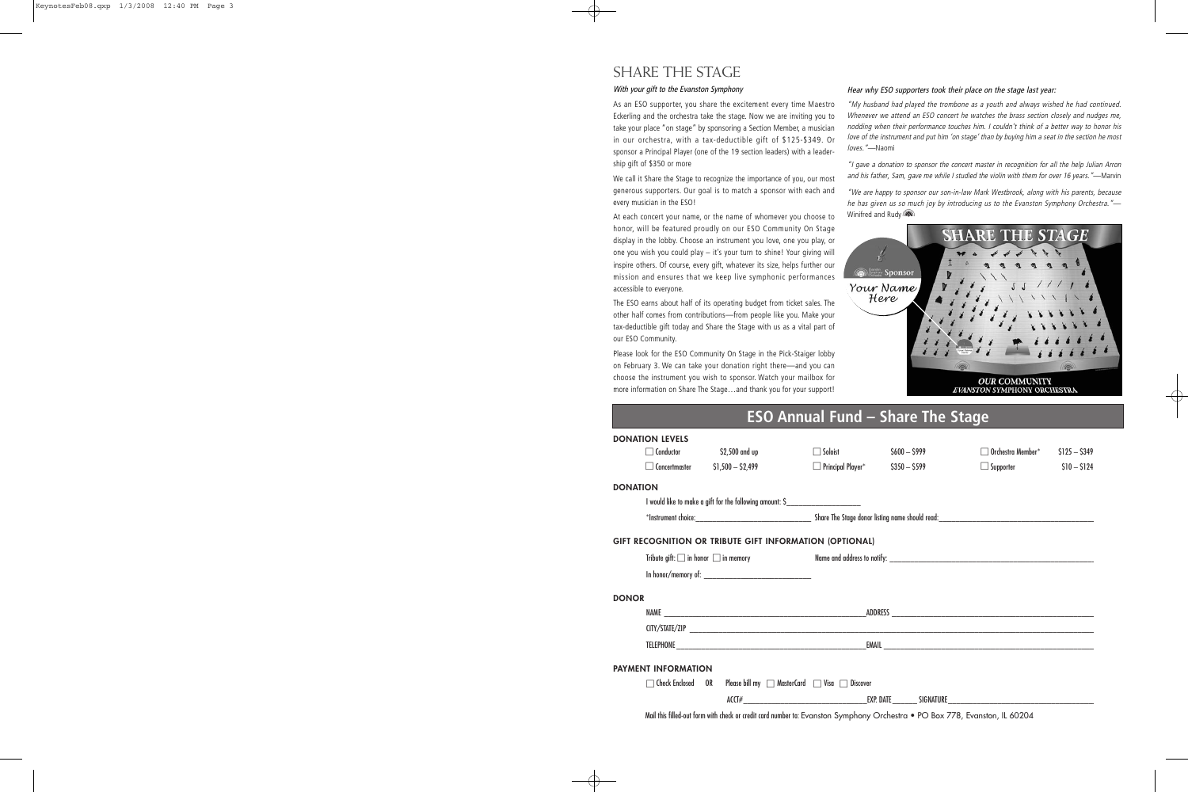### SHARE THE STAGE

#### With your gift to the Evanston Symphony

As an ESO supporter, you share the excitement every time Maestro Eckerling and the orchestra take the stage. Now we are inviting you to take your place "on stage" by sponsoring a Section Member, a musician in our orchestra, with a tax-deductible gift of \$125-\$349. Or sponsor a Principal Player (one of the 19 section leaders) with a leadership gift of \$350 or more

We call it Share the Stage to recognize the importance of you, our most generous supporters. Our goal is to match a sponsor with each and every musician in the ESO!

At each concert your name, or the name of whomever you choose to honor, will be featured proudly on our ESO Community On Stage display in the lobby. Choose an instrument you love, one you play, or one you wish you could play – it's your turn to shine! Your giving will inspire others. Of course, every gift, whatever its size, helps further our mission and ensures that we keep live symphonic performances accessible to everyone.

The ESO earns about half of its operating budget from ticket sales. The other half comes from contributions—from people like you. Make your tax-deductible gift today and Share the Stage with us as a vital part of our ESO Community.

Please look for the ESO Community On Stage in the Pick-Staiger lobby on February 3. We can take your donation right there—and you can choose the instrument you wish to sponsor. Watch your mailbox for more information on Share The Stage…and thank you for your support!

#### Hear why ESO supporters took their place on the stage last year:

"My husband had played the trombone as a youth and always wished he had continued. Whenever we attend an ESO concert he watches the brass section closely and nudges me, nodding when their performance touches him. I couldn't think of a better way to honor his love of the instrument and put him 'on stage' than by buying him a seat in the section he most loves."—Naomi

"I gave a donation to sponsor the concert master in recognition for all the help Julian Arron and his father, Sam, gave me while I studied the violin with them for over 16 years."—Marvin

"We are happy to sponsor our son-in-law Mark Westbrook, along with his parents, because he has given us so much joy by introducing us to the Evanston Symphony Orchestra."-Winifred and Rudy



# **ESO Annual Fund – Share The Stage**

| <b>DONATION LEVELS</b>     |                  |                                        |                                                                                                                             |               |                                    |               |  |
|----------------------------|------------------|----------------------------------------|-----------------------------------------------------------------------------------------------------------------------------|---------------|------------------------------------|---------------|--|
|                            | $\Box$ Conductor | \$2,500 and up                         | $\Box$ Soloist                                                                                                              | $$600 - $999$ | $\Box$ Orchestra Member $^*$       | $$125 - $349$ |  |
|                            |                  | $\Box$ Concertmaster $$1,500 - $2,499$ | $\Box$ Principal Player* $$350 - $599$                                                                                      |               | $\Box$ Supporter $\Box$ S10 - S124 |               |  |
| <b>DONATION</b>            |                  |                                        |                                                                                                                             |               |                                    |               |  |
|                            |                  |                                        | I would like to make a gift for the following amount: \$_________________________                                           |               |                                    |               |  |
|                            |                  |                                        |                                                                                                                             |               |                                    |               |  |
|                            |                  |                                        | GIFT RECOGNITION OR TRIBUTE GIFT INFORMATION (OPTIONAL)                                                                     |               |                                    |               |  |
|                            |                  |                                        |                                                                                                                             |               |                                    |               |  |
|                            |                  |                                        |                                                                                                                             |               |                                    |               |  |
| <b>DONOR</b>               |                  |                                        |                                                                                                                             |               |                                    |               |  |
|                            |                  |                                        |                                                                                                                             |               |                                    |               |  |
|                            |                  |                                        |                                                                                                                             |               |                                    |               |  |
|                            |                  |                                        |                                                                                                                             |               |                                    |               |  |
| <b>PAYMENT INFORMATION</b> |                  |                                        |                                                                                                                             |               |                                    |               |  |
|                            |                  |                                        | $\Box$ Check Enclosed OR Please bill my $\Box$ MasterCard $\Box$ Visa $\Box$ Discover                                       |               |                                    |               |  |
|                            |                  |                                        |                                                                                                                             |               |                                    |               |  |
|                            |                  |                                        | Mail this filled-out form with check or credit card number to: Evanston Symphony Orchestra • PO Box 778, Evanston, IL 60204 |               |                                    |               |  |